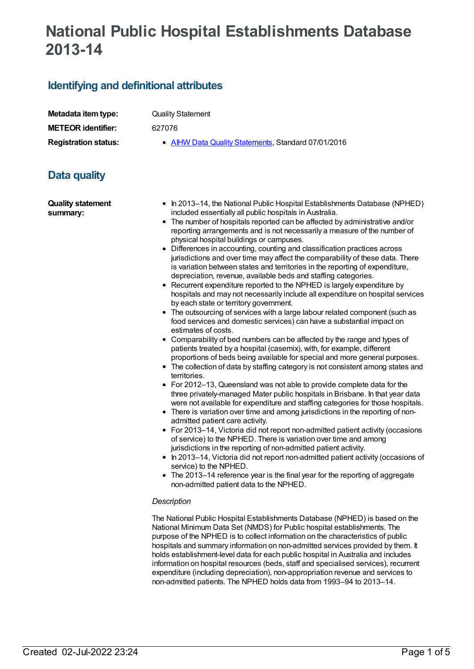# **National Public Hospital Establishments Database 2013-14**

## **Identifying and definitional attributes**

| Metadata item type:         |
|-----------------------------|
| <b>METEOR identifier:</b>   |
| <b>Registration status:</b> |

**Quality Statement** 

**METEOR identifier:** 627076

**AIHW Data Quality [Statements](https://meteor.aihw.gov.au/RegistrationAuthority/5), Standard 07/01/2016** 

# **Data quality**

**Quality statement summary:**

- In 2013–14, the National Public Hospital Establishments Database (NPHED) included essentially all public hospitals in Australia.
- The number of hospitals reported can be affected by administrative and/or reporting arrangements and is not necessarily a measure of the number of physical hospital buildings or campuses.
- Differences in accounting, counting and classification practices across jurisdictions and over time may affect the comparability of these data. There is variation between states and territories in the reporting of expenditure, depreciation, revenue, available beds and staffing categories.
- Recurrent expenditure reported to the NPHED is largely expenditure by hospitals and may not necessarily include all expenditure on hospital services by each state or territory government.
- The outsourcing of services with a large labour related component (such as food services and domestic services) can have a substantial impact on estimates of costs.
- Comparability of bed numbers can be affected by the range and types of patients treated by a hospital (casemix), with, for example, different proportions of beds being available for special and more general purposes.
- The collection of data by staffing category is not consistent among states and territories.
- For 2012–13, Queensland was not able to provide complete data for the three privately-managed Mater public hospitals in Brisbane. In that year data were not available for expenditure and staffing categories for those hospitals.
- There is variation over time and among jurisdictions in the reporting of nonadmitted patient care activity.
- For 2013–14, Victoria did not report non-admitted patient activity (occasions of service) to the NPHED. There is variation over time and among jurisdictions in the reporting of non-admitted patient activity.
- In 2013–14, Victoria did not report non-admitted patient activity (occasions of service) to the NPHED.
- The 2013–14 reference year is the final year for the reporting of aggregate non-admitted patient data to the NPHED.

#### *Description*

The National Public Hospital Establishments Database (NPHED) is based on the National Minimum Data Set (NMDS) for Public hospital establishments. The purpose of the NPHED is to collect information on the characteristics of public hospitals and summary information on non-admitted services provided by them. It holds establishment-level data for each public hospital in Australia and includes information on hospital resources (beds, staff and specialised services), recurrent expenditure (including depreciation), non-appropriation revenue and services to non-admitted patients. The NPHED holds data from 1993–94 to 2013–14.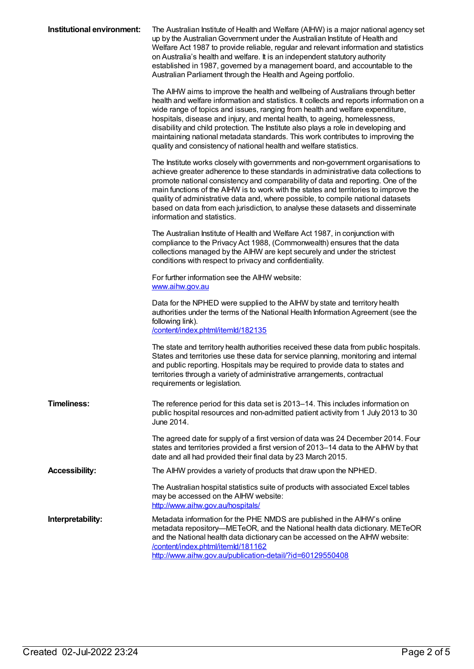| Institutional environment: | The Australian Institute of Health and Welfare (AIHW) is a major national agency set<br>up by the Australian Government under the Australian Institute of Health and<br>Welfare Act 1987 to provide reliable, regular and relevant information and statistics<br>on Australia's health and welfare. It is an independent statutory authority<br>established in 1987, governed by a management board, and accountable to the<br>Australian Parliament through the Health and Ageing portfolio.                                                                                            |
|----------------------------|------------------------------------------------------------------------------------------------------------------------------------------------------------------------------------------------------------------------------------------------------------------------------------------------------------------------------------------------------------------------------------------------------------------------------------------------------------------------------------------------------------------------------------------------------------------------------------------|
|                            | The AIHW aims to improve the health and wellbeing of Australians through better<br>health and welfare information and statistics. It collects and reports information on a<br>wide range of topics and issues, ranging from health and welfare expenditure,<br>hospitals, disease and injury, and mental health, to ageing, homelessness,<br>disability and child protection. The Institute also plays a role in developing and<br>maintaining national metadata standards. This work contributes to improving the<br>quality and consistency of national health and welfare statistics. |
|                            | The Institute works closely with governments and non-government organisations to<br>achieve greater adherence to these standards in administrative data collections to<br>promote national consistency and comparability of data and reporting. One of the<br>main functions of the AIHW is to work with the states and territories to improve the<br>quality of administrative data and, where possible, to compile national datasets<br>based on data from each jurisdiction, to analyse these datasets and disseminate<br>information and statistics.                                 |
|                            | The Australian Institute of Health and Welfare Act 1987, in conjunction with<br>compliance to the Privacy Act 1988, (Commonwealth) ensures that the data<br>collections managed by the AIHW are kept securely and under the strictest<br>conditions with respect to privacy and confidentiality.                                                                                                                                                                                                                                                                                         |
|                            | For further information see the AIHW website:<br>www.aihw.gov.au                                                                                                                                                                                                                                                                                                                                                                                                                                                                                                                         |
|                            | Data for the NPHED were supplied to the AIHW by state and territory health<br>authorities under the terms of the National Health Information Agreement (see the<br>following link).<br>/content/index.phtml/itemld/182135                                                                                                                                                                                                                                                                                                                                                                |
|                            | The state and territory health authorities received these data from public hospitals.<br>States and territories use these data for service planning, monitoring and internal<br>and public reporting. Hospitals may be required to provide data to states and<br>territories through a variety of administrative arrangements, contractual<br>requirements or legislation.                                                                                                                                                                                                               |
| <b>Timeliness:</b>         | The reference period for this data set is 2013-14. This includes information on<br>public hospital resources and non-admitted patient activity from 1 July 2013 to 30<br>June 2014.                                                                                                                                                                                                                                                                                                                                                                                                      |
|                            | The agreed date for supply of a first version of data was 24 December 2014. Four<br>states and territories provided a first version of 2013-14 data to the AIHW by that<br>date and all had provided their final data by 23 March 2015.                                                                                                                                                                                                                                                                                                                                                  |
| <b>Accessibility:</b>      | The AIHW provides a variety of products that draw upon the NPHED.                                                                                                                                                                                                                                                                                                                                                                                                                                                                                                                        |
|                            | The Australian hospital statistics suite of products with associated Excel tables<br>may be accessed on the AIHW website:<br>http://www.aihw.gov.au/hospitals/                                                                                                                                                                                                                                                                                                                                                                                                                           |
| Interpretability:          | Metadata information for the PHE NMDS are published in the AlHW's online<br>metadata repository—METeOR, and the National health data dictionary. METeOR<br>and the National health data dictionary can be accessed on the AIHW website:<br>/content/index.phtml/itemld/181162<br>http://www.aihw.gov.au/publication-detail/?id=60129550408                                                                                                                                                                                                                                               |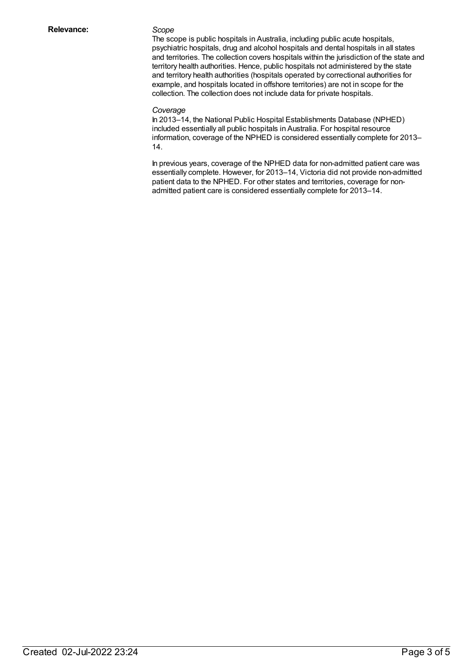The scope is public hospitals in Australia, including public acute hospitals, psychiatric hospitals, drug and alcohol hospitals and dental hospitals in all states and territories. The collection covers hospitals within the jurisdiction of the state and territory health authorities. Hence, public hospitals not administered by the state and territory health authorities (hospitals operated by correctional authorities for example, and hospitals located in offshore territories) are not in scope for the collection. The collection does not include data for private hospitals.

#### *Coverage*

In 2013–14, the National Public Hospital Establishments Database (NPHED) included essentially all public hospitals in Australia. For hospital resource information, coverage of the NPHED is considered essentially complete for 2013– 14.

In previous years, coverage of the NPHED data for non-admitted patient care was essentially complete. However, for 2013–14, Victoria did not provide non-admitted patient data to the NPHED. For other states and territories, coverage for nonadmitted patient care is considered essentially complete for 2013–14.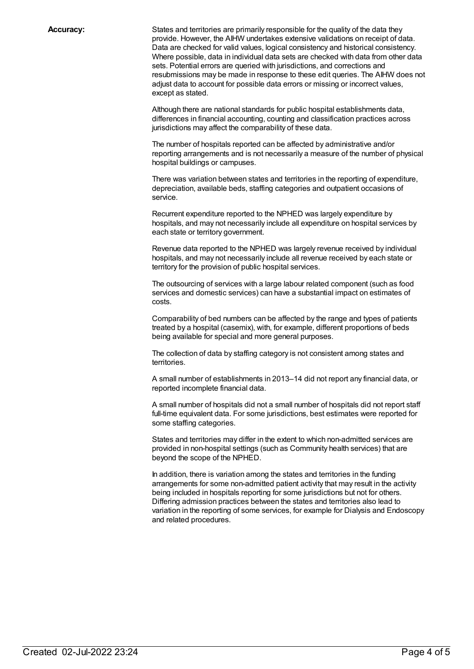**Accuracy:** States and territories are primarily responsible for the quality of the data they provide. However, the AIHW undertakes extensive validations on receipt of data. Data are checked for valid values, logical consistency and historical consistency. Where possible, data in individual data sets are checked with data from other data sets. Potential errors are queried with jurisdictions, and corrections and resubmissions may be made in response to these edit queries. The AIHW does not adjust data to account for possible data errors or missing or incorrect values, except as stated.

> Although there are national standards for public hospital establishments data, differences in financial accounting, counting and classification practices across jurisdictions may affect the comparability of these data.

The number of hospitals reported can be affected by administrative and/or reporting arrangements and is not necessarily a measure of the number of physical hospital buildings or campuses.

There was variation between states and territories in the reporting of expenditure, depreciation, available beds, staffing categories and outpatient occasions of service.

Recurrent expenditure reported to the NPHED was largely expenditure by hospitals, and may not necessarily include all expenditure on hospital services by each state or territory government.

Revenue data reported to the NPHED was largely revenue received by individual hospitals, and may not necessarily include all revenue received by each state or territory for the provision of public hospital services.

The outsourcing of services with a large labour related component (such as food services and domestic services) can have a substantial impact on estimates of costs.

Comparability of bed numbers can be affected by the range and types of patients treated by a hospital (casemix), with, for example, different proportions of beds being available for special and more general purposes.

The collection of data by staffing category is not consistent among states and territories.

A small number of establishments in 2013–14 did not report any financial data, or reported incomplete financial data.

A small number of hospitals did not a small number of hospitals did not report staff full-time equivalent data. For some jurisdictions, best estimates were reported for some staffing categories.

States and territories may differ in the extent to which non-admitted services are provided in non-hospital settings (such as Community health services) that are beyond the scope of the NPHED.

In addition, there is variation among the states and territories in the funding arrangements for some non-admitted patient activity that may result in the activity being included in hospitals reporting for some jurisdictions but not for others. Differing admission practices between the states and territories also lead to variation in the reporting of some services, for example for Dialysis and Endoscopy and related procedures.